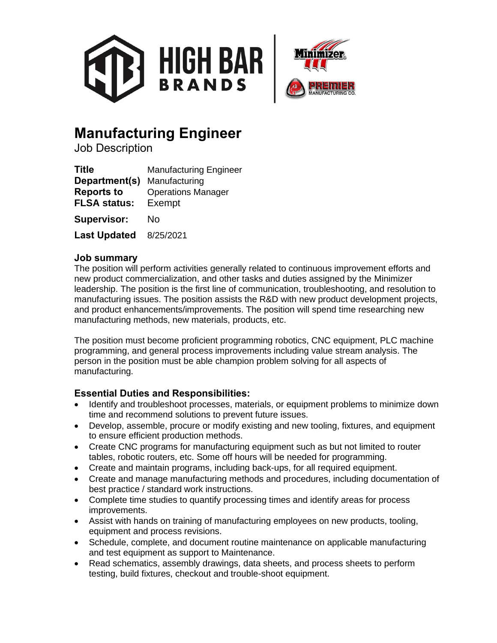



# **Manufacturing Engineer**

Job Description

| <b>Title</b>                             | <b>Manufacturing Engineer</b>       |
|------------------------------------------|-------------------------------------|
| Department(s)                            | Manufacturing                       |
| <b>Reports to</b><br><b>FLSA status:</b> | <b>Operations Manager</b><br>Exempt |
| <b>Supervisor:</b>                       | No                                  |
| <b>Last Updated</b>                      | 8/25/2021                           |

## **Job summary**

The position will perform activities generally related to continuous improvement efforts and new product commercialization, and other tasks and duties assigned by the Minimizer leadership. The position is the first line of communication, troubleshooting, and resolution to manufacturing issues. The position assists the R&D with new product development projects, and product enhancements/improvements. The position will spend time researching new manufacturing methods, new materials, products, etc.

The position must become proficient programming robotics, CNC equipment, PLC machine programming, and general process improvements including value stream analysis. The person in the position must be able champion problem solving for all aspects of manufacturing.

## **Essential Duties and Responsibilities:**

- Identify and troubleshoot processes, materials, or equipment problems to minimize down time and recommend solutions to prevent future issues.
- Develop, assemble, procure or modify existing and new tooling, fixtures, and equipment to ensure efficient production methods.
- Create CNC programs for manufacturing equipment such as but not limited to router tables, robotic routers, etc. Some off hours will be needed for programming.
- Create and maintain programs, including back-ups, for all required equipment.
- Create and manage manufacturing methods and procedures, including documentation of best practice / standard work instructions.
- Complete time studies to quantify processing times and identify areas for process improvements.
- Assist with hands on training of manufacturing employees on new products, tooling, equipment and process revisions.
- Schedule, complete, and document routine maintenance on applicable manufacturing and test equipment as support to Maintenance.
- Read schematics, assembly drawings, data sheets, and process sheets to perform testing, build fixtures, checkout and trouble-shoot equipment.